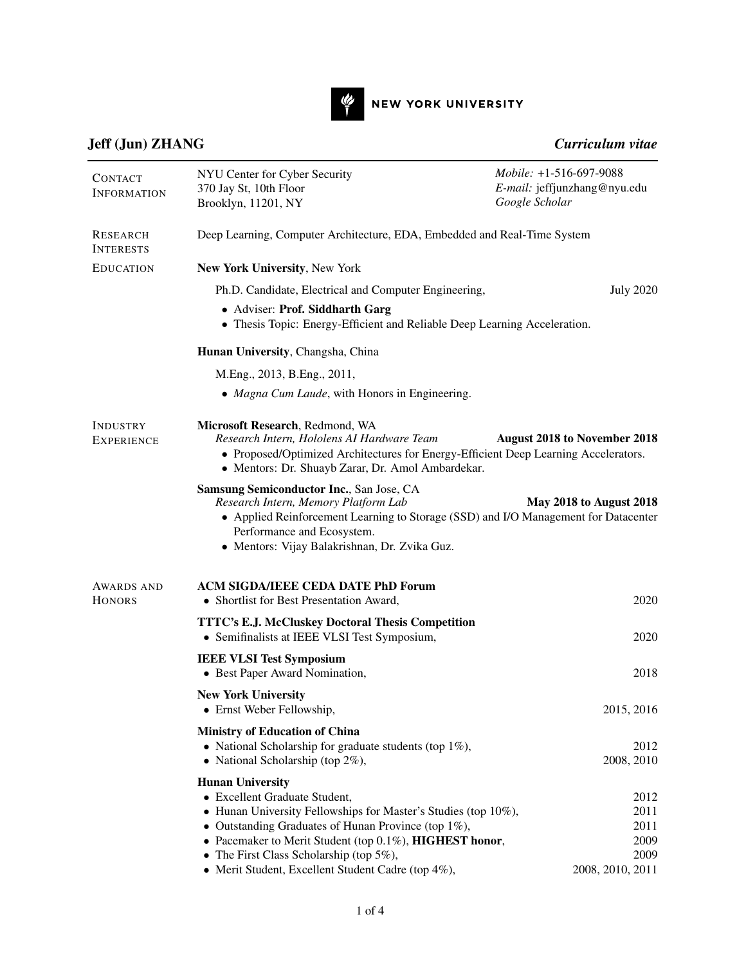

NEW YORK UNIVERSITY

## [Jeff \(Jun\) ZHANG](http://engineering.nyu.edu/people/jeff-jun-zhang) *Curriculum vitae*

| <b>CONTACT</b><br><b>INFORMATION</b> | NYU Center for Cyber Security<br>370 Jay St, 10th Floor<br>Brooklyn, 11201, NY                                                                                                                                                                                                                                                                        | Mobile: +1-516-697-9088<br>E-mail: jeffjunzhang@nyu.edu<br>Google Scholar |  |  |
|--------------------------------------|-------------------------------------------------------------------------------------------------------------------------------------------------------------------------------------------------------------------------------------------------------------------------------------------------------------------------------------------------------|---------------------------------------------------------------------------|--|--|
| RESEARCH<br><b>INTERESTS</b>         | Deep Learning, Computer Architecture, EDA, Embedded and Real-Time System                                                                                                                                                                                                                                                                              |                                                                           |  |  |
| <b>EDUCATION</b>                     | New York University, New York                                                                                                                                                                                                                                                                                                                         |                                                                           |  |  |
|                                      | Ph.D. Candidate, Electrical and Computer Engineering,                                                                                                                                                                                                                                                                                                 | <b>July 2020</b>                                                          |  |  |
|                                      | • Adviser: Prof. Siddharth Garg<br>• Thesis Topic: Energy-Efficient and Reliable Deep Learning Acceleration.                                                                                                                                                                                                                                          |                                                                           |  |  |
|                                      | Hunan University, Changsha, China                                                                                                                                                                                                                                                                                                                     |                                                                           |  |  |
|                                      | M.Eng., 2013, B.Eng., 2011,                                                                                                                                                                                                                                                                                                                           |                                                                           |  |  |
|                                      | • Magna Cum Laude, with Honors in Engineering.                                                                                                                                                                                                                                                                                                        |                                                                           |  |  |
| <b>INDUSTRY</b><br><b>EXPERIENCE</b> | Microsoft Research, Redmond, WA<br>Research Intern, Hololens AI Hardware Team<br>• Proposed/Optimized Architectures for Energy-Efficient Deep Learning Accelerators.<br>• Mentors: Dr. Shuayb Zarar, Dr. Amol Ambardekar.                                                                                                                             | <b>August 2018 to November 2018</b>                                       |  |  |
|                                      | <b>Samsung Semiconductor Inc., San Jose, CA</b><br>Research Intern, Memory Platform Lab<br>• Applied Reinforcement Learning to Storage (SSD) and I/O Management for Datacenter<br>Performance and Ecosystem.<br>• Mentors: Vijay Balakrishnan, Dr. Zvika Guz.                                                                                         | <b>May 2018 to August 2018</b>                                            |  |  |
| <b>AWARDS AND</b><br><b>HONORS</b>   | <b>ACM SIGDA/IEEE CEDA DATE PhD Forum</b><br>• Shortlist for Best Presentation Award,                                                                                                                                                                                                                                                                 | 2020                                                                      |  |  |
|                                      | TTTC's E.J. McCluskey Doctoral Thesis Competition<br>• Semifinalists at IEEE VLSI Test Symposium,                                                                                                                                                                                                                                                     | 2020                                                                      |  |  |
|                                      | <b>IEEE VLSI Test Symposium</b><br>• Best Paper Award Nomination,                                                                                                                                                                                                                                                                                     | 2018                                                                      |  |  |
|                                      | <b>New York University</b><br>• Ernst Weber Fellowship,                                                                                                                                                                                                                                                                                               | 2015, 2016                                                                |  |  |
|                                      | <b>Ministry of Education of China</b><br>• National Scholarship for graduate students (top $1\%$ ),<br>• National Scholarship (top $2\%$ ),                                                                                                                                                                                                           | 2012<br>2008, 2010                                                        |  |  |
|                                      | <b>Hunan University</b><br>• Excellent Graduate Student,<br>• Hunan University Fellowships for Master's Studies (top 10%),<br>• Outstanding Graduates of Hunan Province (top $1\%$ ),<br>• Pacemaker to Merit Student (top 0.1%), HIGHEST honor,<br>• The First Class Scholarship (top $5\%$ ),<br>• Merit Student, Excellent Student Cadre (top 4%), | 2012<br>2011<br>2011<br>2009<br>2009<br>2008, 2010, 2011                  |  |  |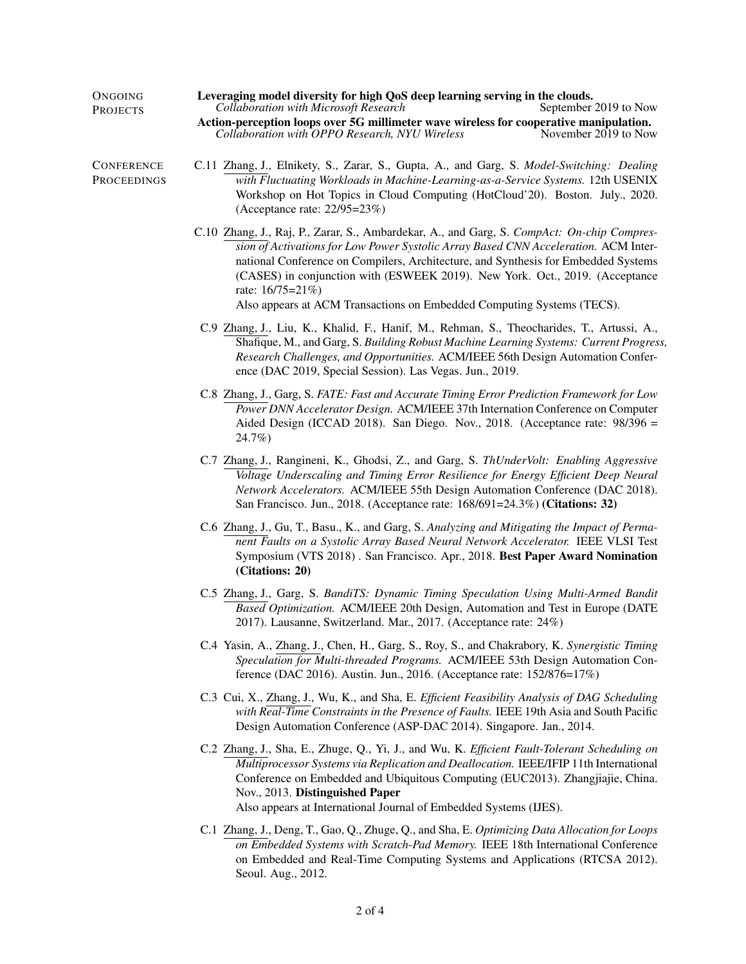| ONGOING<br><b>PROJECTS</b>       | Leveraging model diversity for high QoS deep learning serving in the clouds.<br><b>Collaboration with Microsoft Research</b><br>September 2019 to Now                                                                                                                                                                                                                                                                                                   |  |  |  |
|----------------------------------|---------------------------------------------------------------------------------------------------------------------------------------------------------------------------------------------------------------------------------------------------------------------------------------------------------------------------------------------------------------------------------------------------------------------------------------------------------|--|--|--|
|                                  | Action-perception loops over 5G millimeter wave wireless for cooperative manipulation.<br>Collaboration with OPPO Research, NYU Wireless<br>November 2019 to Now                                                                                                                                                                                                                                                                                        |  |  |  |
| <b>CONFERENCE</b><br>PROCEEDINGS | C.11 Zhang, J., Elnikety, S., Zarar, S., Gupta, A., and Garg, S. Model-Switching: Dealing<br>with Fluctuating Workloads in Machine-Learning-as-a-Service Systems. 12th USENIX<br>Workshop on Hot Topics in Cloud Computing (HotCloud'20). Boston. July., 2020.<br>(Acceptance rate: 22/95=23%)                                                                                                                                                          |  |  |  |
|                                  | C.10 Zhang, J., Raj, P., Zarar, S., Ambardekar, A., and Garg, S. CompAct: On-chip Compres-<br>sion of Activations for Low Power Systolic Array Based CNN Acceleration. ACM Inter-<br>national Conference on Compilers, Architecture, and Synthesis for Embedded Systems<br>(CASES) in conjunction with (ESWEEK 2019). New York. Oct., 2019. (Acceptance<br>rate: $16/75=21\%$<br>Also appears at ACM Transactions on Embedded Computing Systems (TECS). |  |  |  |
|                                  | C.9 Zhang, J., Liu, K., Khalid, F., Hanif, M., Rehman, S., Theocharides, T., Artussi, A.,<br>Shafique, M., and Garg, S. Building Robust Machine Learning Systems: Current Progress,<br>Research Challenges, and Opportunities. ACM/IEEE 56th Design Automation Confer-<br>ence (DAC 2019, Special Session). Las Vegas. Jun., 2019.                                                                                                                      |  |  |  |
|                                  | C.8 Zhang, J., Garg, S. FATE: Fast and Accurate Timing Error Prediction Framework for Low<br>Power DNN Accelerator Design. ACM/IEEE 37th Internation Conference on Computer<br>Aided Design (ICCAD 2018). San Diego. Nov., 2018. (Acceptance rate: 98/396 =<br>24.7%)                                                                                                                                                                                   |  |  |  |
|                                  | C.7 Zhang, J., Rangineni, K., Ghodsi, Z., and Garg, S. ThUnderVolt: Enabling Aggressive<br>Voltage Underscaling and Timing Error Resilience for Energy Efficient Deep Neural<br>Network Accelerators. ACM/IEEE 55th Design Automation Conference (DAC 2018).<br>San Francisco. Jun., 2018. (Acceptance rate: 168/691=24.3%) (Citations: 32)                                                                                                             |  |  |  |
|                                  | C.6 Zhang, J., Gu, T., Basu., K., and Garg, S. Analyzing and Mitigating the Impact of Perma-<br>nent Faults on a Systolic Array Based Neural Network Accelerator. IEEE VLSI Test<br>Symposium (VTS 2018). San Francisco. Apr., 2018. Best Paper Award Nomination<br>(Citations: 20)                                                                                                                                                                     |  |  |  |
|                                  | C.5 Zhang, J., Garg, S. BandiTS: Dynamic Timing Speculation Using Multi-Armed Bandit<br>Based Optimization. ACM/IEEE 20th Design, Automation and Test in Europe (DATE<br>2017). Lausanne, Switzerland. Mar., 2017. (Acceptance rate: 24%)                                                                                                                                                                                                               |  |  |  |
|                                  | C.4 Yasin, A., Zhang, J., Chen, H., Garg, S., Roy, S., and Chakrabory, K. Synergistic Timing<br>Speculation for Multi-threaded Programs. ACM/IEEE 53th Design Automation Con-<br>ference (DAC 2016). Austin. Jun., 2016. (Acceptance rate: 152/876=17%)                                                                                                                                                                                                 |  |  |  |
|                                  | C.3 Cui, X., Zhang, J., Wu, K., and Sha, E. Efficient Feasibility Analysis of DAG Scheduling<br>with Real-Time Constraints in the Presence of Faults. IEEE 19th Asia and South Pacific<br>Design Automation Conference (ASP-DAC 2014). Singapore. Jan., 2014.                                                                                                                                                                                           |  |  |  |
|                                  | C.2 Zhang, J., Sha, E., Zhuge, Q., Yi, J., and Wu, K. Efficient Fault-Tolerant Scheduling on<br>Multiprocessor Systems via Replication and Deallocation. IEEE/IFIP 11th International<br>Conference on Embedded and Ubiquitous Computing (EUC2013). Zhangjiajie, China.<br>Nov., 2013. Distinguished Paper<br>Also appears at International Journal of Embedded Systems (IJES).                                                                         |  |  |  |
|                                  | C.1 Zhang, J., Deng, T., Gao, Q., Zhuge, Q., and Sha, E. Optimizing Data Allocation for Loops<br>on Embedded Systems with Scratch-Pad Memory. IEEE 18th International Conference<br>on Embedded and Real-Time Computing Systems and Applications (RTCSA 2012).<br>Seoul. Aug., 2012.                                                                                                                                                                    |  |  |  |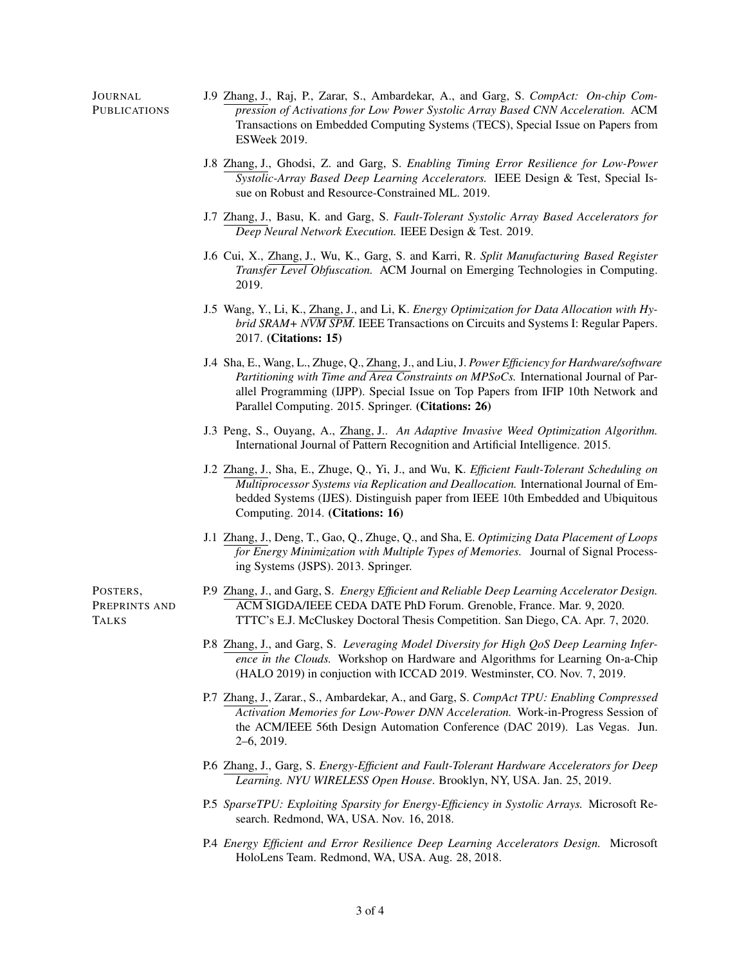| J.9 Zhang, J., Raj, P., Zarar, S., Ambardekar, A., and Garg, S. CompAct: On-chip Com-<br>pression of Activations for Low Power Systolic Array Based CNN Acceleration. ACM<br>Transactions on Embedded Computing Systems (TECS), Special Issue on Papers from<br>ESWeek 2019.                                                       |  |
|------------------------------------------------------------------------------------------------------------------------------------------------------------------------------------------------------------------------------------------------------------------------------------------------------------------------------------|--|
| J.8 Zhang, J., Ghodsi, Z. and Garg, S. Enabling Timing Error Resilience for Low-Power<br>Systolic-Array Based Deep Learning Accelerators. IEEE Design & Test, Special Is-<br>sue on Robust and Resource-Constrained ML. 2019.                                                                                                      |  |
| J.7 Zhang, J., Basu, K. and Garg, S. Fault-Tolerant Systolic Array Based Accelerators for<br>Deep Neural Network Execution. IEEE Design & Test. 2019.                                                                                                                                                                              |  |
| J.6 Cui, X., Zhang, J., Wu, K., Garg, S. and Karri, R. Split Manufacturing Based Register<br>Transfer Level Obfuscation. ACM Journal on Emerging Technologies in Computing.<br>2019.                                                                                                                                               |  |
| J.5 Wang, Y., Li, K., Zhang, J., and Li, K. Energy Optimization for Data Allocation with Hy-<br>brid SRAM+ NVM SPM. IEEE Transactions on Circuits and Systems I: Regular Papers.<br>2017. (Citations: 15)                                                                                                                          |  |
| J.4 Sha, E., Wang, L., Zhuge, Q., Zhang, J., and Liu, J. Power Efficiency for Hardware/software<br>Partitioning with Time and Area Constraints on MPSoCs. International Journal of Par-<br>allel Programming (IJPP). Special Issue on Top Papers from IFIP 10th Network and<br>Parallel Computing. 2015. Springer. (Citations: 26) |  |
| J.3 Peng, S., Ouyang, A., Zhang, J An Adaptive Invasive Weed Optimization Algorithm.<br>International Journal of Pattern Recognition and Artificial Intelligence. 2015.                                                                                                                                                            |  |
| J.2 Zhang, J., Sha, E., Zhuge, Q., Yi, J., and Wu, K. Efficient Fault-Tolerant Scheduling on<br>Multiprocessor Systems via Replication and Deallocation. International Journal of Em-<br>bedded Systems (IJES). Distinguish paper from IEEE 10th Embedded and Ubiquitous<br>Computing. 2014. (Citations: 16)                       |  |
| J.1 Zhang, J., Deng, T., Gao, Q., Zhuge, Q., and Sha, E. Optimizing Data Placement of Loops<br>for Energy Minimization with Multiple Types of Memories. Journal of Signal Process-<br>ing Systems (JSPS). 2013. Springer.                                                                                                          |  |
| P.9 Zhang, J., and Garg, S. Energy Efficient and Reliable Deep Learning Accelerator Design.<br>ACM SIGDA/IEEE CEDA DATE PhD Forum. Grenoble, France. Mar. 9, 2020.<br>TTTC's E.J. McCluskey Doctoral Thesis Competition. San Diego, CA. Apr. 7, 2020.                                                                              |  |
| P.8 Zhang, J., and Garg, S. Leveraging Model Diversity for High QoS Deep Learning Infer-<br>ence in the Clouds. Workshop on Hardware and Algorithms for Learning On-a-Chip<br>(HALO 2019) in conjuction with ICCAD 2019. Westminster, CO. Nov. 7, 2019.                                                                            |  |
| P.7 Zhang, J., Zarar., S., Ambardekar, A., and Garg, S. CompAct TPU: Enabling Compressed<br>Activation Memories for Low-Power DNN Acceleration. Work-in-Progress Session of<br>the ACM/IEEE 56th Design Automation Conference (DAC 2019). Las Vegas. Jun.<br>$2-6, 2019.$                                                          |  |
| P.6 Zhang, J., Garg, S. Energy-Efficient and Fault-Tolerant Hardware Accelerators for Deep<br>Learning. NYU WIRELESS Open House. Brooklyn, NY, USA. Jan. 25, 2019.                                                                                                                                                                 |  |
| P.5 SparseTPU: Exploiting Sparsity for Energy-Efficiency in Systolic Arrays. Microsoft Re-<br>search. Redmond, WA, USA. Nov. 16, 2018.                                                                                                                                                                                             |  |
| P.4 Energy Efficient and Error Resilience Deep Learning Accelerators Design. Microsoft<br>HoloLens Team. Redmond, WA, USA. Aug. 28, 2018.                                                                                                                                                                                          |  |
|                                                                                                                                                                                                                                                                                                                                    |  |